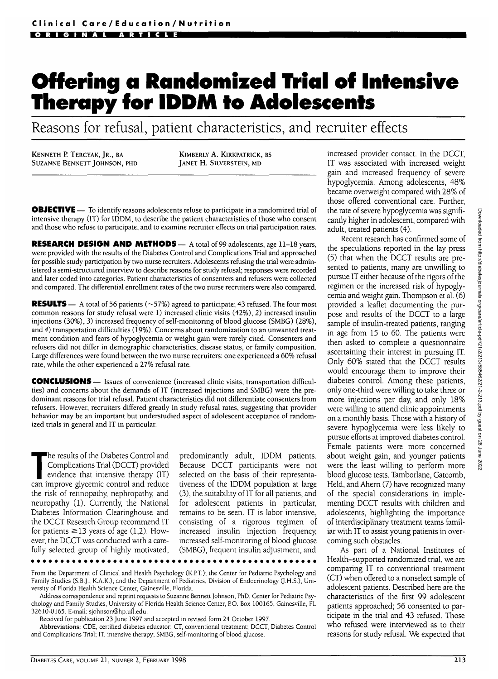# **Offering a Randomized Trial of Intensive Therapy for IDDM to Adolescents**

Reasons for refusal, patient characteristics, and recruiter effects

KENNETH P. TERCYAK, IR., BA SUZANNE BENNETT JOHNSON, PHD

KlMBERLY A. KlRKPATRICK, BS JANET H. SILVERSTEIN, MD

**OBJECTIVE** - To identify reasons adolescents refuse to participate in a randomized trial of intensive therapy (IT) for IDDM, to describe the patient characteristics of those who consent and those who refuse to participate, and to examine recruiter effects on trial participation rates.

RESEARCH DESIGN AND METHODS — A total of 99 adolescents, age 11-18 years, were provided with the results of the Diabetes Control and Complications Trial and approached for possible study participation by two nurse recruiters. Adolescents refusing the trial were administered a semi-structured interview to describe reasons for study refusal; responses were recorded and later coded into categories. Patient characteristics of consenters and refusers were collected and compared. The differential enrollment rates of the two nurse recruiters were also compared.

**RESULTS** — A total of 56 patients ( $\sim$ 57%) agreed to participate; 43 refused. The four most common reasons for study refusal were 1) increased clinic visits (42%), 2) increased insulin injections (30%), 3) increased frequency of self-monitoring of blood glucose (SMBG) (28%), and 4) transportation difficulties (19%). Concerns about randomization to an unwanted treatment condition and fears of hypoglycemia or weight gain were rarely cited. Consenters and refusers did not differ in demographic characteristics, disease status, or family composition. Large differences were found between the two nurse recruiters: one experienced a 60% refusal rate, while the other experienced a 27% refusal rate.

CONCLUSIONS — Issues of convenience (increased clinic visits, transportation difficulties) and concerns about the demands of IT (increased injections and SMBG) were the predominant reasons for trial refusal. Patient characteristics did not differentiate consenters from refusers. However, recruiters differed greatly in study refusal rates, suggesting that provider behavior may be an important but understudied aspect of adolescent acceptance of randomized trials in general and IT in particular.

The results of the Diabetes Control and<br>
Complications Trial (DCCT) provided<br>
evidence that intensive therapy (IT)<br>
can improve glycemic control and reduce Complications Trial (DCCT) provided can improve glycemic control and reduce the risk of retinopathy, nephropathy, and neuropathy (1). Currently, the National Diabetes Information Clearinghouse and the DCCT Research Group recommend IT for patients  $\geq$ 13 years of age (1,2). However, the DCCT was conducted with a carefully selected group of highly motivated,

predominantly adult, IDDM patients. Because DCCT participants were not selected on the basis of their representativeness of the IDDM population at large (3), the suitability of IT for all patients, and for adolescent patients in particular, remains to be seen. IT is labor intensive, consisting of a rigorous regimen of increased insulin injection frequency, increased self-monitoring of blood glucose (SMBG), frequent insulin adjustment, and

From the Department of Clinical and Health Psychology (K.RT.); the Center for Pediatric Psychology and Family Studies (S.B.J., K.A.K.); and the Department of Pediatrics, Division of Endocrinology (J.H.S.), University of Florida Health Science Center, Gainesville, Florida.

Address correspondence and reprint requests to Suzanne Bennett Johnson, PhD, Center for Pediatric Psychology and Family Studies, University of Florida Health Science Center, RO. Box 100165, Gainesville, FL 32610-0165. E-mail: sjohnson@hp.ufl.edu.

Received for publication 23 June 1997 and accepted in revised form 24 October 1997.

Abbreviations: CDE, certified diabetes educator; CT, conventional treatment; DCCT, Diabetes Control and Complications Trial; IT, intensive therapy; SMBG, self-monitoring of blood glucose.

increased provider contact. In the DCCT, IT was associated with increased weight gain and increased frequency of severe hypoglycemia. Among adolescents, 48% became overweight compared with 28% of those offered conventional care. Further, the rate of severe hypoglycemia was significantly higher in adolescent, compared with adult, treated patients (4).

Recent research has confirmed some of the speculations reported in the lay press (5) that when the DCCT results are presented to patients, many are unwilling to pursue IT either because of the rigors of the regimen or the increased risk of hypoglycemia and weight gain. Thompson et al. (6) provided a leaflet documenting the purpose and results of the DCCT to a large sample of insulin-treated patients, ranging in age from 15 to 60. The patients were then asked to complete a questionnaire ascertaining their interest in pursuing IT. Only 60% stated that the DCCT results would encourage them to improve their diabetes control. Among these patients, only one-third were willing to take three or more injections per day, and only 18% were willing to attend clinic appointments on a monthly basis. Those with a history of severe hypoglycemia were less likely to pursue efforts at improved diabetes control. Female patients were more concerned about weight gain, and younger patients were the least willing to perform more blood glucose tests. Tamborlane, Gatcomb, Held, and Ahern (7) have recognized many of the special considerations in implementing DCCT results with children and adolescents, highlighting the importance of interdisciplinary treatment teams familiar with IT to assist young patients in overcoming such obstacles.

As part of a National Institutes of Health-supported randomized trial, we are comparing IT to conventional treatment (CT) when offered to a nonselect sample of adolescent patients. Described here are the characteristics of the first 99 adolescent patients approached; 56 consented to participate in the trial and 43 refused. Those who refused were interviewed as to their reasons for study refusal. We expected that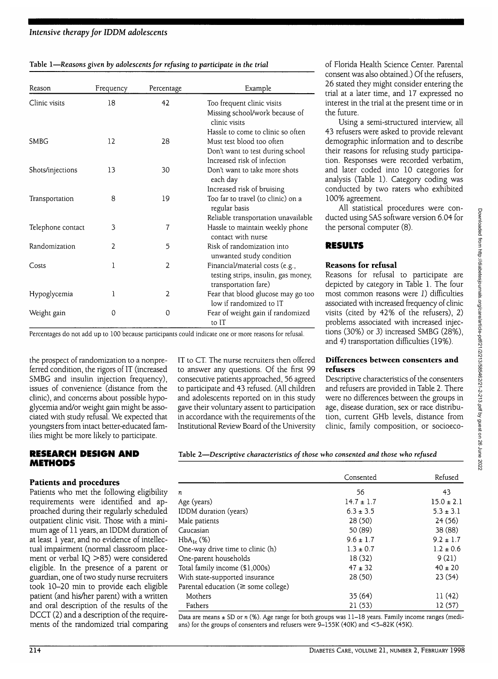### *Intensive therapy for IDDM adolescents*

| Table 1-Reasons given by adolescents for refusing to participate in the trial |  |  |  |
|-------------------------------------------------------------------------------|--|--|--|
|                                                                               |  |  |  |

| Reason            | Frequency      | Percentage     | Example                                                                                                                           |
|-------------------|----------------|----------------|-----------------------------------------------------------------------------------------------------------------------------------|
| Clinic visits     | 18             | 42             | Too frequent clinic visits<br>Missing school/work because of<br>clinic visits                                                     |
| <b>SMBG</b>       | 12             | 28             | Hassle to come to clinic so often<br>Must test blood too often<br>Don't want to test during school<br>Increased risk of infection |
| Shots/injections  | 13             | 30             | Don't want to take more shots<br>each day                                                                                         |
| Transportation    | 8              | 19             | Increased risk of bruising<br>Too far to travel (to clinic) on a<br>regular basis                                                 |
| Telephone contact | 3              | 7              | Reliable transportation unavailable<br>Hassle to maintain weekly phone<br>contact with nurse                                      |
| Randomization     | $\overline{2}$ | 5              | Risk of randomization into<br>unwanted study condition                                                                            |
| Costs             | 1              | $\overline{2}$ | Financial/material costs (e.g.,<br>testing strips, insulin, gas money,<br>transportation fare)                                    |
| Hypoglycemia      | 1              | 2              | Fear that blood glucose may go too<br>low if randomized to IT                                                                     |
| Weight gain       | 0              | 0              | Fear of weight gain if randomized<br>to IT                                                                                        |

Percentages do not add up to 100 because participants could indicate one or more reasons for refusal.

the prospect of randomization to a nonpreferred condition, the rigors of IT (increased SMBG and insulin injection frequency), issues of convenience (distance from the clinic), and concerns about possible hypoglycemia and/or weight gain might be associated with study refusal. We expected that youngsters from intact better-educated families might be more likely to participate.

#### **RESEARCH DESIGN AND METHODS**

#### **Patients and procedures**

Patients who met the following eligibility requirements were identified and approached during their regularly scheduled outpatient clinic visit. Those with a minimum age of 11 years, an IDDM duration of at least 1 year, and no evidence of intellectual impairment (normal classroom placement or verbal IQ >85) were considered eligible. In the presence of a parent or guardian, one of two study nurse recruiters took 10-20 min to provide each eligible patient (and his/her parent) with a written and oral description of the results of the DCCT (2) and a description of the requirements of the randomized trial comparing IT to CT. The nurse recruiters then offered to answer any questions. Of the first 99 consecutive patients approached, 56 agreed to participate and 43 refused. (All children and adolescents reported on in this study gave their voluntary assent to participation in accordance with the requirements of the Institutional Review Board of the University of Florida Health Science Center. Parental consent was also obtained.) Of the refusers, 26 stated they might consider entering the trial at a later time, and 17 expressed no interest in the trial at the present time or in the future.

Using a semi-structured interview, all 43 refusers were asked to provide relevant demographic information and to describe their reasons for refusing study participation. Responses were recorded verbatim, and later coded into 10 categories for analysis (Table 1). Category coding was conducted by two raters who exhibited 100% agreement.

All statistical procedures were conducted using SAS software version 6.04 for the personal computer (8).

# **RESULTS**

#### **Reasons for refusal**

Reasons for refusal to participate are depicted by category in Table 1. The four most common reasons were J) difficulties associated with increased frequency of clinic visits (cited by 42% of the refusers), 2) problems associated with increased injections (30%) or 3) increased SMBG (28%), and 4) transportation difficulties (19%).

#### **Differences between consenters and refusers**

Descriptive characteristics of the consenters and refusers are provided in Table 2. There were no differences between the groups in age, disease duration, sex or race distribution, current GHb levels, distance from clinic, family composition, or socioeco-

**Table 2—***Descriptive characteristics of those who consented and those who refused*

|                                           | Consented      | Refused        |
|-------------------------------------------|----------------|----------------|
| n                                         | 56             | 43             |
| Age (years)                               | $14.7 \pm 1.7$ | $15.0 \pm 2.1$ |
| IDDM duration (years)                     | $6.3 \pm 3.5$  | $5.3 \pm 3.1$  |
| Male patients                             | 28(50)         | 24(56)         |
| Caucasian                                 | 50 (89)        | 38 (88)        |
| $HbA_{1c}$ (%)                            | $9.6 \pm 1.7$  | $9.2 \pm 1.7$  |
| One-way drive time to clinic (h)          | $1.3 \pm 0.7$  | $1.2 \pm 0.6$  |
| One-parent households                     | 18(32)         | 9(21)          |
| Total family income (\$1,000s)            | $47 \pm 32$    | $40 \pm 20$    |
| With state-supported insurance            | 28(50)         | 23(54)         |
| Parental education ( $\geq$ some college) |                |                |
| Mothers                                   | 35(64)         | 11(42)         |
| Fathers                                   | 21(53)         | 12(57)         |

Data are means ± SD or n (%). Age range for both groups was 11-18 years. Family income ranges (medians) for the groups of consenters and refusers were 9-155K (40K) and <5-82K (45K).